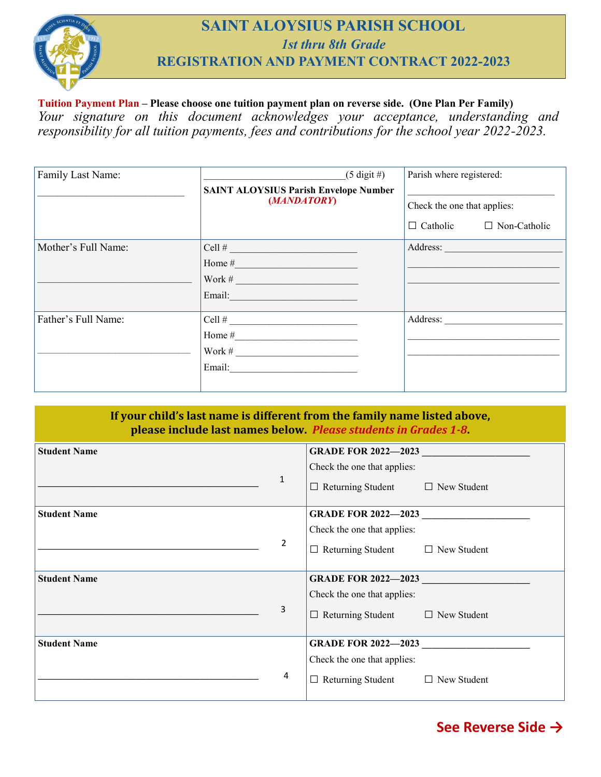

## **SAINT ALOYSIUS PARISH SCHOOL** *1st thru 8th Grade* **REGISTRATION AND PAYMENT CONTRACT 2022-2023**

## **Tuition Payment Plan – Please choose one tuition payment plan on reverse side. (One Plan Per Family)**  *Your signature on this document acknowledges your acceptance, understanding and responsibility for all tuition payments, fees and contributions for the school year 2022-2023.*

| Family Last Name:   | $(5 \text{ digit } \#)$                      | Parish where registered:            |  |
|---------------------|----------------------------------------------|-------------------------------------|--|
|                     | <b>SAINT ALOYSIUS Parish Envelope Number</b> |                                     |  |
|                     | (MANDATORY)                                  | Check the one that applies:         |  |
|                     |                                              | $\Box$ Catholic $\Box$ Non-Catholic |  |
| Mother's Full Name: | $\text{Cell} \#$                             | Address:                            |  |
|                     |                                              |                                     |  |
|                     | Work # $\qquad \qquad$                       |                                     |  |
|                     |                                              |                                     |  |
| Father's Full Name: | $Cell$ #                                     |                                     |  |
|                     |                                              |                                     |  |
|                     |                                              |                                     |  |
|                     |                                              |                                     |  |
|                     |                                              |                                     |  |

## **If your child's last name is different from the family name listed above, please include last names below.** *Please students in Grades 1-8***.**

| <b>Student Name</b> | <b>GRADE FOR 2022-2023</b>                     |  |
|---------------------|------------------------------------------------|--|
|                     | Check the one that applies:                    |  |
| $\mathbf{1}$        | $\Box$ Returning Student $\Box$ New Student    |  |
| <b>Student Name</b> | GRADE FOR 2022-2023                            |  |
|                     | Check the one that applies:                    |  |
| 2                   | $\Box$ Returning Student $\Box$ New Student    |  |
| <b>Student Name</b> | GRADE FOR 2022-2023                            |  |
|                     | Check the one that applies:                    |  |
|                     |                                                |  |
| 3                   | $\Box$ Returning Student $\Box$ New Student    |  |
| <b>Student Name</b> | <b>GRADE FOR 2022-2023</b>                     |  |
|                     | Check the one that applies:                    |  |
| 4                   | $\Box$ Returning Student<br>$\Box$ New Student |  |